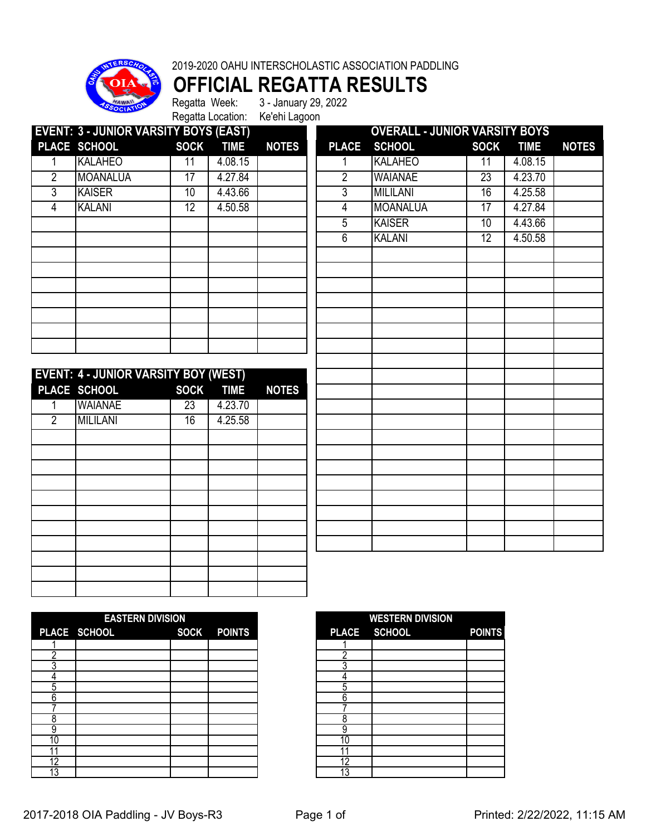



## **OFFICIAL REGATTA RESULTS**<br>Regatta Week: 3- January 29, 2022

Regatta Location: Ke'ehi Lagoon

3 - January 29, 2022

|                | <b>EVENT: 3 - JUNIOR VARSITY BOYS (EAST)</b> |                 |             |              |                | <b>OVERALL - JUNIOR VARSITY BOYS</b> |                 |             |              |
|----------------|----------------------------------------------|-----------------|-------------|--------------|----------------|--------------------------------------|-----------------|-------------|--------------|
|                | PLACE SCHOOL                                 | <b>SOCK</b>     | <b>TIME</b> | <b>NOTES</b> | <b>PLACE</b>   | <b>SCHOOL</b>                        | <b>SOCK</b>     | <b>TIME</b> | <b>NOTES</b> |
|                | <b>KALAHEO</b>                               | 11              | 4.08.15     |              |                | <b>KALAHEO</b>                       | 11              | 4.08.15     |              |
| 2              | <b>MOANALUA</b>                              | $\overline{17}$ | 4.27.84     |              | 2              | <b>WAIANAE</b>                       | 23              | 4.23.70     |              |
| 3              | <b>KAISER</b>                                | 10              | 4.43.66     |              | $\overline{3}$ | <b>MILILANI</b>                      | 16              | 4.25.58     |              |
| 4              | <b>KALANI</b>                                | $\overline{12}$ | 4.50.58     |              | 4              | <b>MOANALUA</b>                      | $\overline{17}$ | 4.27.84     |              |
|                |                                              |                 |             |              | 5              | <b>KAISER</b>                        | 10              | 4.43.66     |              |
|                |                                              |                 |             |              | 6              | <b>KALANI</b>                        | 12              | 4.50.58     |              |
|                |                                              |                 |             |              |                |                                      |                 |             |              |
|                |                                              |                 |             |              |                |                                      |                 |             |              |
|                |                                              |                 |             |              |                |                                      |                 |             |              |
|                |                                              |                 |             |              |                |                                      |                 |             |              |
|                |                                              |                 |             |              |                |                                      |                 |             |              |
|                |                                              |                 |             |              |                |                                      |                 |             |              |
|                |                                              |                 |             |              |                |                                      |                 |             |              |
|                |                                              |                 |             |              |                |                                      |                 |             |              |
|                | <b>EVENT: 4 - JUNIOR VARSITY BOY (WEST)</b>  |                 |             |              |                |                                      |                 |             |              |
|                | PLACE SCHOOL                                 | <b>SOCK</b>     | <b>TIME</b> | <b>NOTES</b> |                |                                      |                 |             |              |
|                | <b>WAIANAE</b>                               | 23              | 4.23.70     |              |                |                                      |                 |             |              |
| $\overline{2}$ | <b>MILILANI</b>                              | 16              | 4.25.58     |              |                |                                      |                 |             |              |
|                |                                              |                 |             |              |                |                                      |                 |             |              |

|    | <b>EASTERN DIVISION</b>            |  |  |  |  |
|----|------------------------------------|--|--|--|--|
|    | PLACE SCHOOL<br><b>SOCK POINTS</b> |  |  |  |  |
|    |                                    |  |  |  |  |
|    |                                    |  |  |  |  |
|    |                                    |  |  |  |  |
|    |                                    |  |  |  |  |
| ה. |                                    |  |  |  |  |
|    |                                    |  |  |  |  |
|    |                                    |  |  |  |  |
|    |                                    |  |  |  |  |
|    |                                    |  |  |  |  |
| 10 |                                    |  |  |  |  |
|    |                                    |  |  |  |  |
| 12 |                                    |  |  |  |  |
| دا |                                    |  |  |  |  |

| <b>WESTERN DIVISION</b> |              |               |  |  |  |  |  |
|-------------------------|--------------|---------------|--|--|--|--|--|
|                         | PLACE SCHOOL | <b>POINTS</b> |  |  |  |  |  |
|                         |              |               |  |  |  |  |  |
| ኃ                       |              |               |  |  |  |  |  |
| २                       |              |               |  |  |  |  |  |
|                         |              |               |  |  |  |  |  |
| 5                       |              |               |  |  |  |  |  |
| 6                       |              |               |  |  |  |  |  |
|                         |              |               |  |  |  |  |  |
|                         |              |               |  |  |  |  |  |
| q                       |              |               |  |  |  |  |  |
| ſ                       |              |               |  |  |  |  |  |
|                         |              |               |  |  |  |  |  |
| D                       |              |               |  |  |  |  |  |
| p                       |              |               |  |  |  |  |  |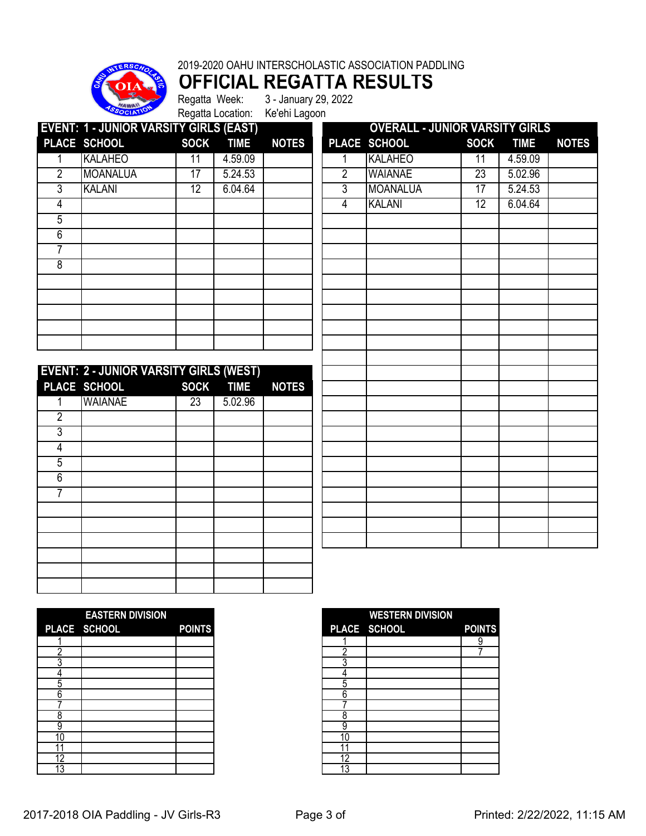

## 2019-2020 OAHU INTERSCHOLASTIC ASSOCIATION PADDLING

**OFFICIAL REGATTA RESULTS**<br>Regatta Week: 3 - January 29, 2022 3 - January 29, 2022

Regatta Location: Ke'ehi Lagoon

**EVENT: 1 - JUNIOR VARSITY GIRLS (EAST) OVERALL - JUNIOR VARSITY GIRLS PLACE SCHOOL SOCK TIME NOTES PLACE SCHOOL SOCK TIME NOTES** 1 |KALAHEO | 11 | 4.59.09 | | | 1 |KALAHEO | 11 | 4.59.09 2 |MOANALUA | 17 | 5.24.53 | | | 2 |WAIANAE | 23 | 5.02.96 3 |KALANI | 12 | 6.04.64 | | | 3 |MOANALUA | 17 | 5.24.53 4 KALANI 12 6.04.64 

|                | <b>EVENT: 2 - JUNIOR VARSITY GIRLS (WEST)</b> |                 |           |              |
|----------------|-----------------------------------------------|-----------------|-----------|--------------|
|                | PLACE SCHOOL                                  |                 | SOCK TIME | <b>NOTES</b> |
|                | <b>WAIANAE</b>                                | $\overline{23}$ | 5.02.96   |              |
| $\overline{2}$ |                                               |                 |           |              |
| 3              |                                               |                 |           |              |
| 4              |                                               |                 |           |              |
| 5              |                                               |                 |           |              |
| 6              |                                               |                 |           |              |
|                |                                               |                 |           |              |
|                |                                               |                 |           |              |
|                |                                               |                 |           |              |
|                |                                               |                 |           |              |
|                |                                               |                 |           |              |
|                |                                               |                 |           |              |
|                |                                               |                 |           |              |

|                | PLACE SCHOOL    | <b>SOCK</b> | <b>TIME</b> | <b>NOTES</b> |
|----------------|-----------------|-------------|-------------|--------------|
| 1              | KALAHEO         | 11          | 4.59.09     |              |
| $\overline{2}$ | <b>WAIANAE</b>  | 23          | 5.02.96     |              |
| $\overline{3}$ | <b>MOANALUA</b> | 17          | 5.24.53     |              |
| $\overline{4}$ | <b>KALANI</b>   | 12          | 6.04.64     |              |
|                |                 |             |             |              |
|                |                 |             |             |              |
|                |                 |             |             |              |
|                |                 |             |             |              |
|                |                 |             |             |              |
|                |                 |             |             |              |
|                |                 |             |             |              |
|                |                 |             |             |              |
|                |                 |             |             |              |
|                |                 |             |             |              |
|                |                 |             |             |              |
|                |                 |             |             |              |
|                |                 |             |             |              |
|                |                 |             |             |              |
|                |                 |             |             |              |
|                |                 |             |             |              |
|                |                 |             |             |              |
|                |                 |             |             |              |
|                |                 |             |             |              |
|                |                 |             |             |              |
|                |                 |             |             |              |
|                |                 |             |             |              |

|    | <b>EASTERN DIVISION</b> |               |
|----|-------------------------|---------------|
|    | PLACE SCHOOL            | <b>POINTS</b> |
|    |                         |               |
|    |                         |               |
|    |                         |               |
|    |                         |               |
| 5  |                         |               |
| 6  |                         |               |
|    |                         |               |
| 8  |                         |               |
| 9  |                         |               |
| C  |                         |               |
|    |                         |               |
| 12 |                         |               |
| 3  |                         |               |

|    | <b>EASTERN DIVISION</b> |               |    | <b>WESTERN DIVISION</b> |               |
|----|-------------------------|---------------|----|-------------------------|---------------|
|    | PLACE SCHOOL            | <b>POINTS</b> |    | PLACE SCHOOL            | <b>POINTS</b> |
|    |                         |               |    |                         | 9             |
|    |                         |               |    |                         |               |
|    |                         |               |    |                         |               |
|    |                         |               |    |                         |               |
| ე  |                         |               | 5  |                         |               |
| 6  |                         |               | 6  |                         |               |
|    |                         |               |    |                         |               |
| ი  |                         |               |    |                         |               |
| 9  |                         |               | 9  |                         |               |
| 10 |                         |               | 10 |                         |               |
|    |                         |               |    |                         |               |
| 12 |                         |               | 12 |                         |               |
| 13 |                         |               | 12 |                         |               |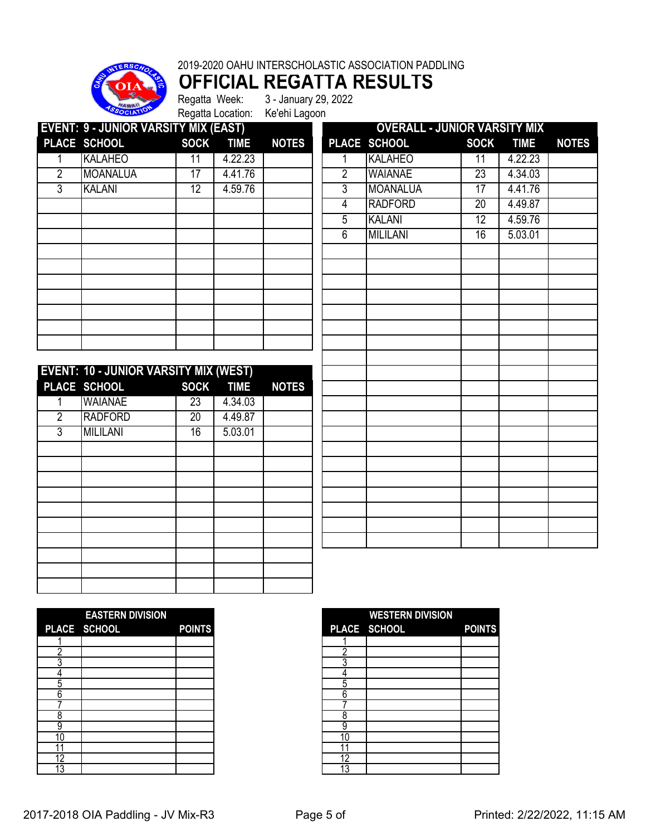

## 2019-2020 OAHU INTERSCHOLASTIC ASSOCIATION PADDLING **OFFICIAL REGATTA RESULTS**<br>Regatta Week: 3- January 29, 2022

Regatta Week: 3 - January 29, 2022 Regatta Location: Ke'ehi Lagoon

**EVENT: 9 - JUNIOR VARSITY MIX (EAST) OVERALL - JUNIOR VARSITY MIX PLACE SCHOOL SOCK TIME NOTES PLACE SCHOOL SOCK TIME NOTES** 1 |KALAHEO | 11 | 4.22.23 | | | 1 |KALAHEO | 11 | 4.22.23 2 MOANALUA 17 4.41.76<br>3 KALANI 12 4.59.76 3 |KALANI | 12 | 4.59.76 | || 3 |MOANALUA | 17 | 4.41.76

| <b>EVENT: 10 - JUNIOR VARSITY MIX (WEST)</b> |                 |                 |           |              |  |  |  |  |  |
|----------------------------------------------|-----------------|-----------------|-----------|--------------|--|--|--|--|--|
|                                              | PLACE SCHOOL    |                 | SOCK TIME | <b>NOTES</b> |  |  |  |  |  |
|                                              | <b>WAIANAE</b>  | 23              | 4.34.03   |              |  |  |  |  |  |
| $\overline{2}$                               | <b>RADFORD</b>  | $\overline{20}$ | 4.49.87   |              |  |  |  |  |  |
| 3                                            | <b>MILILANI</b> | 16              | 5.03.01   |              |  |  |  |  |  |
|                                              |                 |                 |           |              |  |  |  |  |  |
|                                              |                 |                 |           |              |  |  |  |  |  |
|                                              |                 |                 |           |              |  |  |  |  |  |
|                                              |                 |                 |           |              |  |  |  |  |  |
|                                              |                 |                 |           |              |  |  |  |  |  |
|                                              |                 |                 |           |              |  |  |  |  |  |
|                                              |                 |                 |           |              |  |  |  |  |  |
|                                              |                 |                 |           |              |  |  |  |  |  |
|                                              |                 |                 |           |              |  |  |  |  |  |
|                                              |                 |                 |           |              |  |  |  |  |  |

|                | ,,,,,,,,<br><u>,,,,,</u><br>PLACE SCHOOL | <b>SOCK</b>     | <b>TIME</b> | <b>NOTES</b> |
|----------------|------------------------------------------|-----------------|-------------|--------------|
| 1              | <b>KALAHEO</b>                           | $\overline{11}$ | 4.22.23     |              |
| $\overline{2}$ | <b>WAIANAE</b>                           | 23              | 4.34.03     |              |
| 3              | <b>MOANALUA</b>                          | 17              | 4.41.76     |              |
|                |                                          |                 |             |              |
| $\overline{4}$ | <b>RADFORD</b>                           | $\overline{20}$ | 4.49.87     |              |
| 5              | <b>KALANI</b>                            | 12              | 4.59.76     |              |
| 6              | <b>MILILANI</b>                          | 16              | 5.03.01     |              |
|                |                                          |                 |             |              |
|                |                                          |                 |             |              |
|                |                                          |                 |             |              |
|                |                                          |                 |             |              |
|                |                                          |                 |             |              |
|                |                                          |                 |             |              |
|                |                                          |                 |             |              |
|                |                                          |                 |             |              |
|                |                                          |                 |             |              |
|                |                                          |                 |             |              |
|                |                                          |                 |             |              |
|                |                                          |                 |             |              |
|                |                                          |                 |             |              |
|                |                                          |                 |             |              |
|                |                                          |                 |             |              |
|                |                                          |                 |             |              |
|                |                                          |                 |             |              |
|                |                                          |                 |             |              |
|                |                                          |                 |             |              |
|                |                                          |                 |             |              |
|                |                                          |                 |             |              |

|    | <b>EASTERN DIVISION</b> |               |
|----|-------------------------|---------------|
|    | PLACE SCHOOL            | <b>POINTS</b> |
|    |                         |               |
|    |                         |               |
|    |                         |               |
|    |                         |               |
| 5  |                         |               |
| 6  |                         |               |
|    |                         |               |
| 8  |                         |               |
| 9  |                         |               |
| C  |                         |               |
|    |                         |               |
| 12 |                         |               |
| 3  |                         |               |

|    | <b>EASTERN DIVISION</b> |               |
|----|-------------------------|---------------|
|    | PLACE SCHOOL            | <b>POINTS</b> |
|    |                         |               |
|    |                         |               |
|    |                         |               |
|    |                         |               |
|    |                         |               |
|    |                         |               |
|    |                         |               |
|    |                         |               |
|    |                         |               |
| 10 |                         |               |
|    |                         |               |
|    |                         |               |
| 13 |                         |               |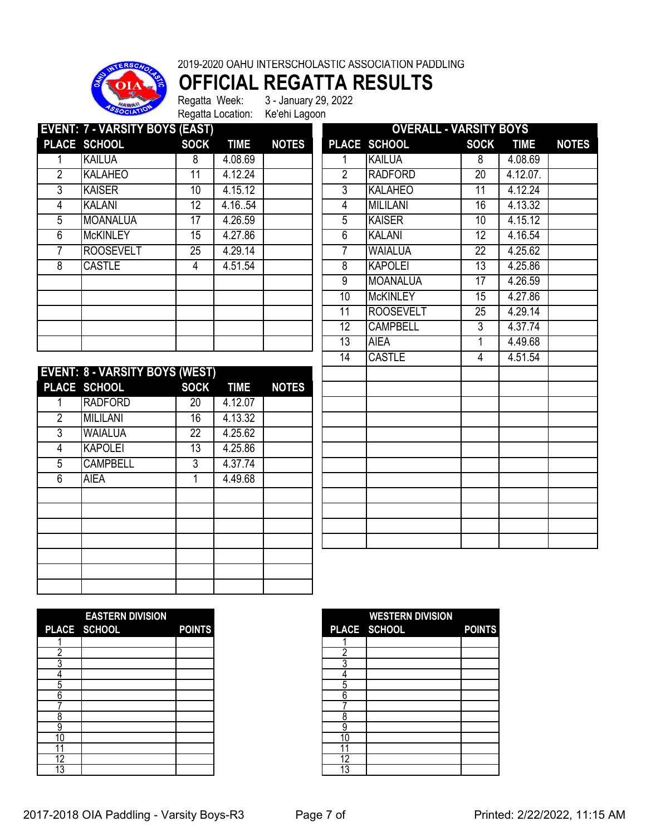

2019-2020 OAHU INTERSCHOLASTIC ASSOCIATION PADDLING

**OFFICIAL REGATTA RESULTS**

Regatta Week: 3 - January 29, 2022 Regatta Location: Ke'ehi Lagoon

| <b>EVENT: 7 - VARSITY BOYS (EAST)</b> |                  |             |             |              | <b>OVERALL - VARSITY BOYS</b> |                  |             |             |              |
|---------------------------------------|------------------|-------------|-------------|--------------|-------------------------------|------------------|-------------|-------------|--------------|
|                                       | PLACE SCHOOL     | <b>SOCK</b> | <b>TIME</b> | <b>NOTES</b> |                               | PLACE SCHOOL     | <b>SOCK</b> | <b>TIME</b> | <b>NOTES</b> |
|                                       | <b>KAILUA</b>    | 8           | 4.08.69     |              |                               | <b>KAILUA</b>    | 8           | 4.08.69     |              |
| 2                                     | <b>KALAHEO</b>   | 11          | 4.12.24     |              | 2                             | <b>RADFORD</b>   | 20          | 4.12.07.    |              |
| 3                                     | <b>KAISER</b>    | 10          | 4.15.12     |              | 3                             | <b>KALAHEO</b>   | 11          | 4.12.24     |              |
| 4                                     | <b>KALANI</b>    | 12          | 4.16.54     |              | 4                             | <b>MILILANI</b>  | 16          | 4.13.32     |              |
| 5                                     | <b>MOANALUA</b>  | 17          | 4.26.59     |              | 5                             | <b>KAISER</b>    | 10          | 4.15.12     |              |
| 6                                     | <b>McKINLEY</b>  | 15          | 4.27.86     |              | 6                             | <b>KALANI</b>    | 12          | 4.16.54     |              |
|                                       | <b>ROOSEVELT</b> | 25          | 4.29.14     |              |                               | <b>WAIALUA</b>   | 22          | 4.25.62     |              |
| 8                                     | <b>CASTLE</b>    | 4           | 4.51.54     |              | 8                             | <b>KAPOLEI</b>   | 13          | 4.25.86     |              |
|                                       |                  |             |             |              | $\overline{9}$                | <b>MOANALUA</b>  | 17          | 4.26.59     |              |
|                                       |                  |             |             |              | 10                            | <b>McKINLEY</b>  | 15          | 4.27.86     |              |
|                                       |                  |             |             |              | 11                            | <b>ROOSEVELT</b> | 25          | 4.29.14     |              |
|                                       |                  |             |             |              | 12                            | <b>CAMPBELL</b>  | 3           | 4.37.74     |              |
|                                       |                  |             |             |              | 13                            | <b>AIEA</b>      |             | 4.49.68     |              |

|                | <b>EVENT: 8 - VARSITY BOYS (WEST)</b> |                 |             |              |
|----------------|---------------------------------------|-----------------|-------------|--------------|
|                | PLACE SCHOOL                          | <b>SOCK</b>     | <b>TIME</b> | <b>NOTES</b> |
| 1              | <b>RADFORD</b>                        | 20              | 4.12.07     |              |
| $\overline{2}$ | <b>MILILANI</b>                       | 16              | 4.13.32     |              |
| 3              | <b>WAIALUA</b>                        | $\overline{22}$ | 4.25.62     |              |
| 4              | <b>KAPOLEI</b>                        | $\overline{13}$ | 4.25.86     |              |
| 5              | <b>CAMPBELL</b>                       | 3               | 4.37.74     |              |
| 6              | <b>AIEA</b>                           |                 | 4.49.68     |              |
|                |                                       |                 |             |              |
|                |                                       |                 |             |              |
|                |                                       |                 |             |              |
|                |                                       |                 |             |              |
|                |                                       |                 |             |              |
|                |                                       |                 |             |              |
|                |                                       |                 |             |              |

| <b>SCHOOL</b><br><b>SOCK</b><br><b>PLACE</b><br><b>TIME</b><br>4.08.69<br><b>KAILUA</b><br>8<br>1<br>2<br>20<br><b>RADFORD</b><br>4.12.07.<br>3<br>11<br><b>KALAHEO</b><br>4.12.24<br><b>MILILANI</b><br>16<br>4.13.32<br>$\overline{4}$<br>5<br>10<br>4.15.12<br><b>KAISER</b><br>$\overline{6}$<br>12<br>4.16.54<br><b>KALANI</b><br>7<br><b>WAIALUA</b><br>$\overline{22}$<br>4.25.62<br><b>KAPOLEI</b><br>13<br>8<br>4.25.86<br>9<br><b>MOANALUA</b><br>17<br>4.26.59 | <b>NOTES</b> |
|---------------------------------------------------------------------------------------------------------------------------------------------------------------------------------------------------------------------------------------------------------------------------------------------------------------------------------------------------------------------------------------------------------------------------------------------------------------------------|--------------|
|                                                                                                                                                                                                                                                                                                                                                                                                                                                                           |              |
|                                                                                                                                                                                                                                                                                                                                                                                                                                                                           |              |
|                                                                                                                                                                                                                                                                                                                                                                                                                                                                           |              |
|                                                                                                                                                                                                                                                                                                                                                                                                                                                                           |              |
|                                                                                                                                                                                                                                                                                                                                                                                                                                                                           |              |
|                                                                                                                                                                                                                                                                                                                                                                                                                                                                           |              |
|                                                                                                                                                                                                                                                                                                                                                                                                                                                                           |              |
|                                                                                                                                                                                                                                                                                                                                                                                                                                                                           |              |
|                                                                                                                                                                                                                                                                                                                                                                                                                                                                           |              |
|                                                                                                                                                                                                                                                                                                                                                                                                                                                                           |              |
| 10<br><b>McKINLEY</b><br>15<br>4.27.86                                                                                                                                                                                                                                                                                                                                                                                                                                    |              |
| 11<br><b>ROOSEVELT</b><br>4.29.14<br>$\overline{25}$                                                                                                                                                                                                                                                                                                                                                                                                                      |              |
| 12<br><b>CAMPBELL</b><br>3<br>4.37.74                                                                                                                                                                                                                                                                                                                                                                                                                                     |              |
| 13<br>$\overline{1}$<br><b>AIEA</b><br>4.49.68                                                                                                                                                                                                                                                                                                                                                                                                                            |              |
| <b>CASTLE</b><br>$\overline{14}$<br>4<br>4.51.54                                                                                                                                                                                                                                                                                                                                                                                                                          |              |
|                                                                                                                                                                                                                                                                                                                                                                                                                                                                           |              |
|                                                                                                                                                                                                                                                                                                                                                                                                                                                                           |              |
|                                                                                                                                                                                                                                                                                                                                                                                                                                                                           |              |
|                                                                                                                                                                                                                                                                                                                                                                                                                                                                           |              |
|                                                                                                                                                                                                                                                                                                                                                                                                                                                                           |              |
|                                                                                                                                                                                                                                                                                                                                                                                                                                                                           |              |
|                                                                                                                                                                                                                                                                                                                                                                                                                                                                           |              |
|                                                                                                                                                                                                                                                                                                                                                                                                                                                                           |              |
|                                                                                                                                                                                                                                                                                                                                                                                                                                                                           |              |
|                                                                                                                                                                                                                                                                                                                                                                                                                                                                           |              |
|                                                                                                                                                                                                                                                                                                                                                                                                                                                                           |              |
|                                                                                                                                                                                                                                                                                                                                                                                                                                                                           |              |

|    | <b>EASTERN DIVISION</b> |               |
|----|-------------------------|---------------|
|    | PLACE SCHOOL            | <b>POINTS</b> |
|    |                         |               |
|    |                         |               |
|    |                         |               |
|    |                         |               |
| 5  |                         |               |
| h  |                         |               |
|    |                         |               |
| 8  |                         |               |
|    |                         |               |
| ۱0 |                         |               |
|    |                         |               |
| 12 |                         |               |
| 3  |                         |               |

|    | <b>EASTERN DIVISION</b> |               |    | <b>WESTERN DIVISION</b> |  |
|----|-------------------------|---------------|----|-------------------------|--|
|    | PLACE SCHOOL            | <b>POINTS</b> |    | PLACE SCHOOL            |  |
|    |                         |               |    |                         |  |
|    |                         |               |    |                         |  |
|    |                         |               |    |                         |  |
|    |                         |               |    |                         |  |
| C  |                         |               | h  |                         |  |
| ი  |                         |               | 6  |                         |  |
|    |                         |               |    |                         |  |
|    |                         |               |    |                         |  |
| 9  |                         |               | 9  |                         |  |
| 10 |                         |               | 10 |                         |  |
|    |                         |               |    |                         |  |
| 12 |                         |               | 12 |                         |  |
| 13 |                         |               | 10 |                         |  |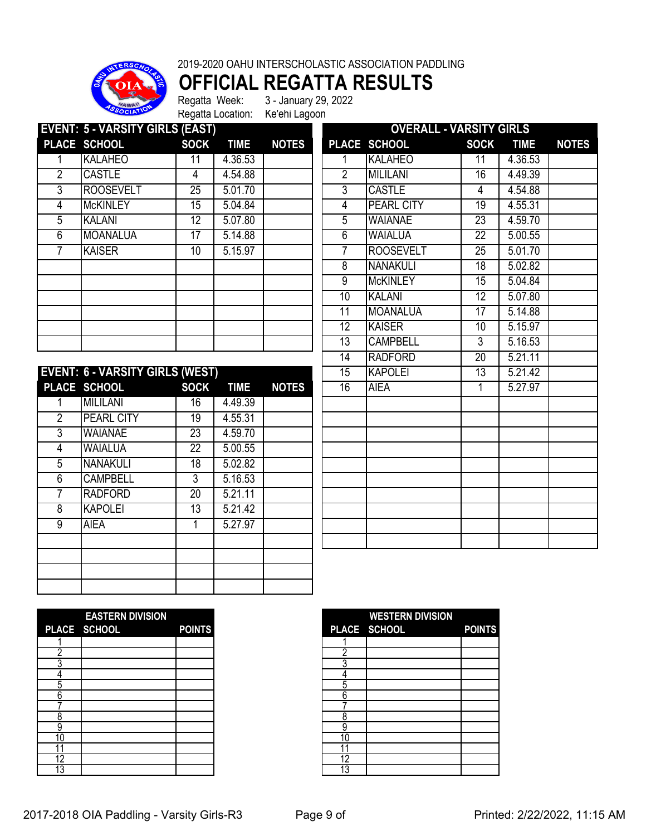

2019-2020 OAHU INTERSCHOLASTIC ASSOCIATION PADDLING

**OFFICIAL REGATTA RESULTS**

Regatta Week: 3 - January 29, 2022 Regatta Location: Ke'ehi Lagoon

| <b>EVENT: 5 - VARSITY GIRLS (EAST)</b> |                  |                 |             |              |  | <b>OVERALL - VARSITY GIRLS</b> |                   |                 |             |              |  |
|----------------------------------------|------------------|-----------------|-------------|--------------|--|--------------------------------|-------------------|-----------------|-------------|--------------|--|
|                                        | PLACE SCHOOL     | <b>SOCK</b>     | <b>TIME</b> | <b>NOTES</b> |  |                                | PLACE SCHOOL      | <b>SOCK</b>     | <b>TIME</b> | <b>NOTES</b> |  |
|                                        | <b>KALAHEO</b>   | 11              | 4.36.53     |              |  |                                | <b>KALAHEO</b>    | 11              | 4.36.53     |              |  |
| 2                                      | <b>CASTLE</b>    | 4               | 4.54.88     |              |  | 2                              | <b>MILILANI</b>   | 16              | 4.49.39     |              |  |
| 3                                      | <b>ROOSEVELT</b> | $\overline{25}$ | 5.01.70     |              |  | 3                              | <b>CASTLE</b>     | 4               | 4.54.88     |              |  |
| 4                                      | <b>McKINLEY</b>  | 15              | 5.04.84     |              |  | 4                              | <b>PEARL CITY</b> | 19              | 4.55.31     |              |  |
| 5                                      | <b>KALANI</b>    | 12              | 5.07.80     |              |  | 5                              | <b>WAIANAE</b>    | $\overline{23}$ | 4.59.70     |              |  |
| 6                                      | MOANALUA         | 17              | 5.14.88     |              |  | 6                              | <b>WAIALUA</b>    | 22              | 5.00.55     |              |  |
|                                        | <b>KAISER</b>    | 10              | 5.15.97     |              |  |                                | <b>ROOSEVELT</b>  | 25              | 5.01.70     |              |  |
|                                        |                  |                 |             |              |  | 8                              | <b>NANAKULI</b>   | 18              | 5.02.82     |              |  |
|                                        |                  |                 |             |              |  | 9                              | <b>McKINLEY</b>   | 15              | 5.04.84     |              |  |
|                                        |                  |                 |             |              |  | 10                             | <b>KALANI</b>     | 12              | 5.07.80     |              |  |
|                                        |                  |                 |             |              |  | 11                             | MOANALUA          | 17              | 5.14.88     |              |  |
|                                        |                  |                 |             |              |  | 12                             | <b>KAISER</b>     | 10              | 5.15.97     |              |  |
|                                        |                  |                 |             |              |  | 13                             | <b>CAMPBELL</b>   | 3               | 5.16.53     |              |  |

|                | <b>EVENT: 6 - VARSITY GIRLS (WEST)</b> |                 |             |              | $\overline{15}$ | <b>KAPOLEI</b> | $\overline{13}$ | 5.21.42 |
|----------------|----------------------------------------|-----------------|-------------|--------------|-----------------|----------------|-----------------|---------|
|                | PLACE SCHOOL                           | <b>SOCK</b>     | <b>TIME</b> | <b>NOTES</b> | 16              | <b>AIEA</b>    |                 | 5.27.97 |
|                | <b>MILILANI</b>                        | 16              | 4.49.39     |              |                 |                |                 |         |
| $\overline{2}$ | <b>PEARL CITY</b>                      | 19              | 4.55.31     |              |                 |                |                 |         |
| 3              | <b>WAIANAE</b>                         | $\overline{23}$ | 4.59.70     |              |                 |                |                 |         |
| 4              | <b>WAIALUA</b>                         | 22              | 5.00.55     |              |                 |                |                 |         |
| 5              | <b>NANAKULI</b>                        | $\overline{18}$ | 5.02.82     |              |                 |                |                 |         |
| 6              | <b>CAMPBELL</b>                        | 3               | 5.16.53     |              |                 |                |                 |         |
| 7              | <b>RADFORD</b>                         | 20              | 5.21.11     |              |                 |                |                 |         |
| 8              | <b>KAPOLEI</b>                         | $\overline{13}$ | 5.21.42     |              |                 |                |                 |         |
| 9              | <b>AIEA</b>                            |                 | 5.27.97     |              |                 |                |                 |         |
|                |                                        |                 |             |              |                 |                |                 |         |
|                |                                        |                 |             |              |                 |                |                 |         |
|                |                                        |                 |             |              |                 |                |                 |         |
|                |                                        |                 |             |              |                 |                |                 |         |

|                 | <u> UVERALL - VARƏLI I GIRLƏ</u> |                 |             |              |
|-----------------|----------------------------------|-----------------|-------------|--------------|
| <b>PLACE</b>    | <b>SCHOOL</b>                    | <b>SOCK</b>     | <b>TIME</b> | <b>NOTES</b> |
| 1               | <b>KALAHEO</b>                   | $\overline{11}$ | 4.36.53     |              |
| $\overline{2}$  | <b>MILILANI</b>                  | 16              | 4.49.39     |              |
| 3               | <b>CASTLE</b>                    | 4               | 4.54.88     |              |
| 4               | <b>PEARL CITY</b>                | $\overline{19}$ | 4.55.31     |              |
| 5               | <b>WAIANAE</b>                   | $\overline{23}$ | 4.59.70     |              |
| $\overline{6}$  | <b>WAIALUA</b>                   | $\overline{22}$ | 5.00.55     |              |
| 7               | <b>ROOSEVELT</b>                 | $\overline{25}$ | 5.01.70     |              |
| 8               | <b>NANAKULI</b>                  | $\overline{18}$ | 5.02.82     |              |
| 9               | <b>McKINLEY</b>                  | 15              | 5.04.84     |              |
| 10              | <b>KALANI</b>                    | 12              | 5.07.80     |              |
| $\overline{11}$ | <b>MOANALUA</b>                  | $\overline{17}$ | 5.14.88     |              |
| 12              | <b>KAISER</b>                    | 10              | 5.15.97     |              |
| 13              | <b>CAMPBELL</b>                  | $\overline{3}$  | 5.16.53     |              |
| 14              | <b>RADFORD</b>                   | $\overline{20}$ | 5.21.11     |              |
| 15              | <b>KAPOLEI</b>                   | 13              | 5.21.42     |              |
| 16              | <b>AIEA</b>                      | $\overline{1}$  | 5.27.97     |              |
|                 |                                  |                 |             |              |
|                 |                                  |                 |             |              |
|                 |                                  |                 |             |              |
|                 |                                  |                 |             |              |
|                 |                                  |                 |             |              |
|                 |                                  |                 |             |              |
|                 |                                  |                 |             |              |
|                 |                                  |                 |             |              |
|                 |                                  |                 |             |              |
|                 |                                  |                 |             |              |
|                 |                                  |                 |             |              |

|    | <b>EASTERN DIVISION</b> |               |
|----|-------------------------|---------------|
|    | PLACE SCHOOL            | <b>POINTS</b> |
|    |                         |               |
|    |                         |               |
|    |                         |               |
|    |                         |               |
| 5  |                         |               |
| 6  |                         |               |
|    |                         |               |
| 8  |                         |               |
| 9  |                         |               |
| 10 |                         |               |
| л  |                         |               |
| 12 |                         |               |
| 3  |                         |               |

|    | <b>EASTERN DIVISION</b> |               |
|----|-------------------------|---------------|
|    | PLACE SCHOOL            | <b>POINTS</b> |
|    |                         |               |
|    |                         |               |
|    |                         |               |
|    |                         |               |
| C  |                         |               |
| 6  |                         |               |
|    |                         |               |
| Õ  |                         |               |
| 9  |                         |               |
| 10 |                         |               |
|    |                         |               |
| 12 |                         |               |
| 13 |                         |               |